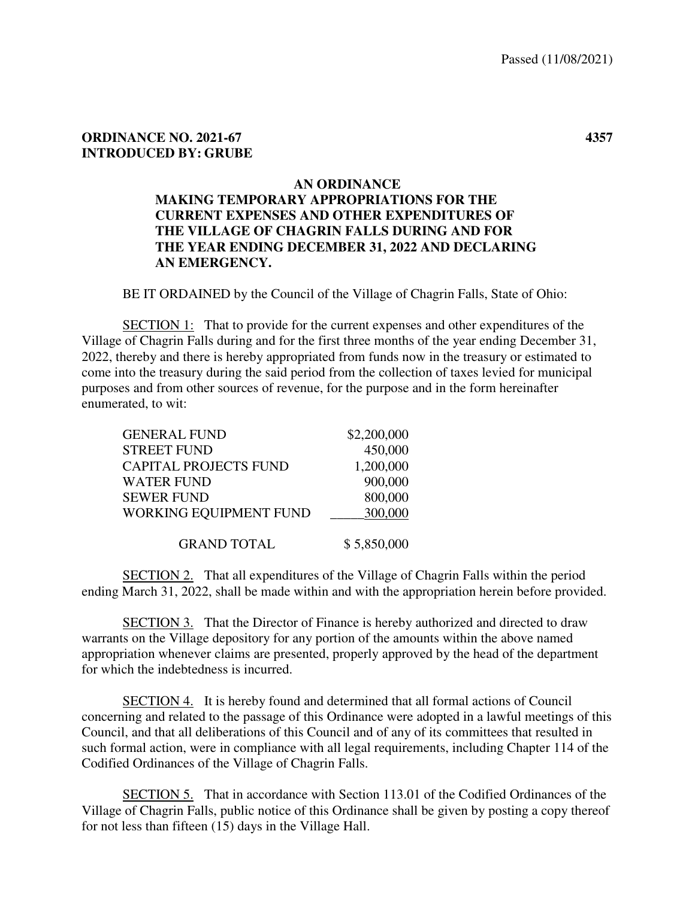## **ORDINANCE NO. 2021-67 4357 INTRODUCED BY: GRUBE**

## **AN ORDINANCE**

## **MAKING TEMPORARY APPROPRIATIONS FOR THE CURRENT EXPENSES AND OTHER EXPENDITURES OF THE VILLAGE OF CHAGRIN FALLS DURING AND FOR THE YEAR ENDING DECEMBER 31, 2022 AND DECLARING AN EMERGENCY.**

BE IT ORDAINED by the Council of the Village of Chagrin Falls, State of Ohio:

 SECTION 1: That to provide for the current expenses and other expenditures of the Village of Chagrin Falls during and for the first three months of the year ending December 31, 2022, thereby and there is hereby appropriated from funds now in the treasury or estimated to come into the treasury during the said period from the collection of taxes levied for municipal purposes and from other sources of revenue, for the purpose and in the form hereinafter enumerated, to wit:

| <b>GENERAL FUND</b>           | \$2,200,000 |
|-------------------------------|-------------|
| <b>STREET FUND</b>            | 450,000     |
| <b>CAPITAL PROJECTS FUND</b>  | 1,200,000   |
| <b>WATER FUND</b>             | 900,000     |
| <b>SEWER FUND</b>             | 800,000     |
| <b>WORKING EQUIPMENT FUND</b> | 300,000     |
|                               |             |
| <b>GRAND TOTAL</b>            | \$5,850,000 |

 SECTION 2. That all expenditures of the Village of Chagrin Falls within the period ending March 31, 2022, shall be made within and with the appropriation herein before provided.

 SECTION 3. That the Director of Finance is hereby authorized and directed to draw warrants on the Village depository for any portion of the amounts within the above named appropriation whenever claims are presented, properly approved by the head of the department for which the indebtedness is incurred.

 SECTION 4. It is hereby found and determined that all formal actions of Council concerning and related to the passage of this Ordinance were adopted in a lawful meetings of this Council, and that all deliberations of this Council and of any of its committees that resulted in such formal action, were in compliance with all legal requirements, including Chapter 114 of the Codified Ordinances of the Village of Chagrin Falls.

 SECTION 5. That in accordance with Section 113.01 of the Codified Ordinances of the Village of Chagrin Falls, public notice of this Ordinance shall be given by posting a copy thereof for not less than fifteen (15) days in the Village Hall.